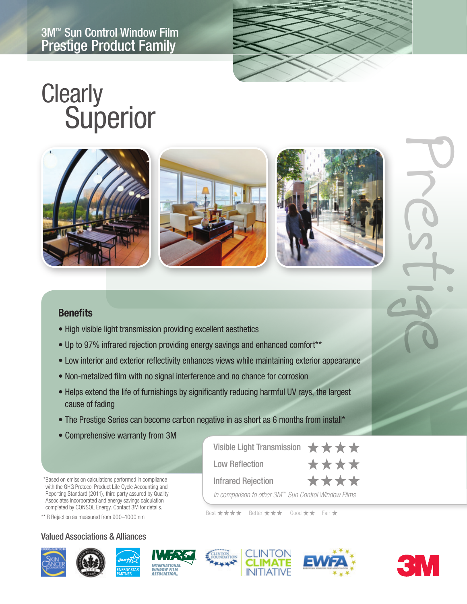

# **Clearly Superior**



#### **Benefits**

- High visible light transmission providing excellent aesthetics
- Up to 97% infrared rejection providing energy savings and enhanced comfort\*\*
- Low interior and exterior reflectivity enhances views while maintaining exterior appearance
- Non-metalized film with no signal interference and no chance for corrosion
- Helps extend the life of furnishings by significantly reducing harmful UV rays, the largest cause of fading
- The Prestige Series can become carbon negative in as short as 6 months from install\*
- Comprehensive warranty from 3M

\*Based on emission calculations performed in compliance with the GHG Protocol Product Life Cycle Accounting and Reporting Standard (2011), third party assured by Quality Associates incorporated and energy savings calculation completed by CONSOL Energy. Contact 3M for details.

\*\*IR Rejection as measured from 900–1000 nm

#### Valued Associations & Alliances









Low Reflection

Infrared Rejection

Best \*\*\*\* Better \*\*\* Good \*\* Fair \*

Visible Light Transmission  $\star \star \star \star$ 

*In comparison to other 3M™ Sun Control Window Films*



\*\*\*\*

\*\*\*\*